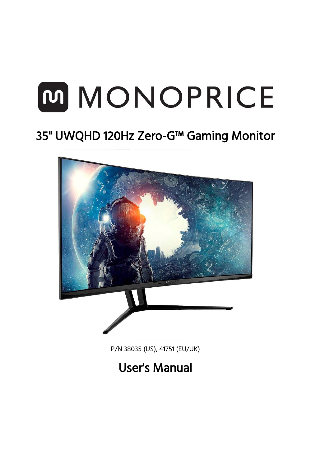# MMONOPRICE

# 35" UWQHD 120Hz Zero-G™ Gaming Monitor



P/N 38035 (US), 41751 (EU/UK)

# User's Manual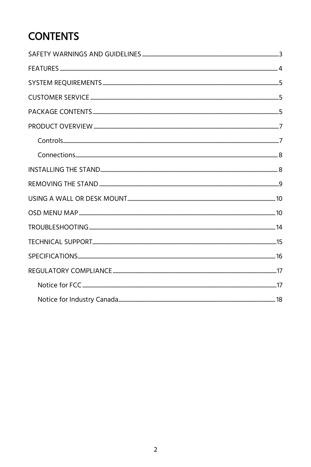## **CONTENTS**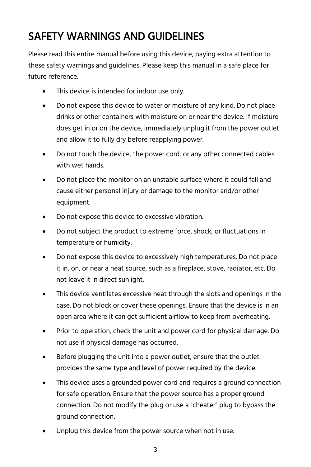## <span id="page-2-0"></span>SAFETY WARNINGS AND GUIDELINES

Please read this entire manual before using this device, paying extra attention to these safety warnings and guidelines. Please keep this manual in a safe place for future reference.

- This device is intended for indoor use only.
- Do not expose this device to water or moisture of any kind. Do not place drinks or other containers with moisture on or near the device. If moisture does get in or on the device, immediately unplug it from the power outlet and allow it to fully dry before reapplying power.
- Do not touch the device, the power cord, or any other connected cables with wet hands.
- Do not place the monitor on an unstable surface where it could fall and cause either personal injury or damage to the monitor and/or other equipment.
- Do not expose this device to excessive vibration.
- Do not subject the product to extreme force, shock, or fluctuations in temperature or humidity.
- Do not expose this device to excessively high temperatures. Do not place it in, on, or near a heat source, such as a fireplace, stove, radiator, etc. Do not leave it in direct sunlight.
- This device ventilates excessive heat through the slots and openings in the case. Do not block or cover these openings. Ensure that the device is in an open area where it can get sufficient airflow to keep from overheating.
- Prior to operation, check the unit and power cord for physical damage. Do not use if physical damage has occurred.
- Before plugging the unit into a power outlet, ensure that the outlet provides the same type and level of power required by the device.
- This device uses a grounded power cord and requires a ground connection for safe operation. Ensure that the power source has a proper ground connection. Do not modify the plug or use a "cheater" plug to bypass the ground connection.
- Unplug this device from the power source when not in use.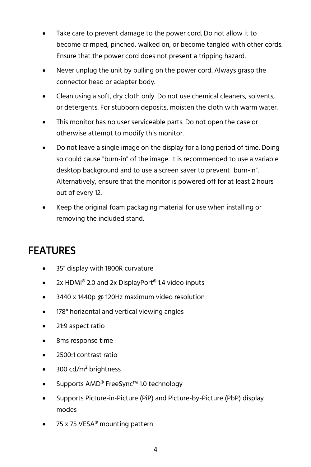- Take care to prevent damage to the power cord. Do not allow it to become crimped, pinched, walked on, or become tangled with other cords. Ensure that the power cord does not present a tripping hazard.
- Never unplug the unit by pulling on the power cord. Always grasp the connector head or adapter body.
- Clean using a soft, dry cloth only. Do not use chemical cleaners, solvents, or detergents. For stubborn deposits, moisten the cloth with warm water.
- This monitor has no user serviceable parts. Do not open the case or otherwise attempt to modify this monitor.
- Do not leave a single image on the display for a long period of time. Doing so could cause "burn-in" of the image. It is recommended to use a variable desktop background and to use a screen saver to prevent "burn-in". Alternatively, ensure that the monitor is powered off for at least 2 hours out of every 12.
- Keep the original foam packaging material for use when installing or removing the included stand.

#### <span id="page-3-0"></span>FEATURES

- 35" display with 1800R curvature
- 2x HDMI<sup>®</sup> 2.0 and 2x DisplayPort<sup>®</sup> 1.4 video inputs
- 3440 x 1440p @ 120Hz maximum video resolution
- 178° horizontal and vertical viewing angles
- 21:9 aspect ratio
- 8ms response time
- 2500:1 contrast ratio
- 300  $\text{cd/m}^2$  brightness
- Supports AMD® FreeSync™ 1.0 technology
- Supports Picture-in-Picture (PiP) and Picture-by-Picture (PbP) display modes
- 75 x 75 VESA<sup>®</sup> mounting pattern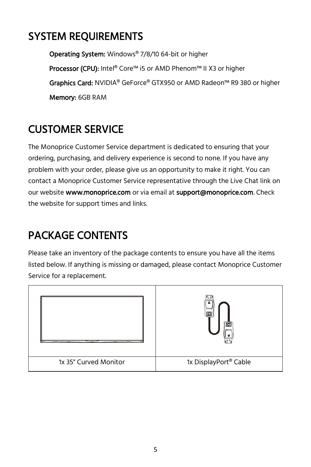### <span id="page-4-0"></span>SYSTEM REQUIREMENTS

Operating System: Windows® 7/8/10 64-bit or higher Processor (CPU): Intel® Core™ i5 or AMD Phenom™ II X3 or higher Graphics Card: NVIDIA® GeForce® GTX950 or AMD Radeon™ R9 380 or higher Memory: 6GB RAM

#### <span id="page-4-1"></span>CUSTOMER SERVICE

The Monoprice Customer Service department is dedicated to ensuring that your ordering, purchasing, and delivery experience is second to none. If you have any problem with your order, please give us an opportunity to make it right. You can contact a Monoprice Customer Service representative through the Live Chat link on our website www.monoprice.com or via email at support@monoprice.com. Check the website for support times and links.

### <span id="page-4-2"></span>PACKAGE CONTENTS

Please take an inventory of the package contents to ensure you have all the items listed below. If anything is missing or damaged, please contact Monoprice Customer Service for a replacement.

|                       | եե<br>ra<br>, 무 무                 |
|-----------------------|-----------------------------------|
| 1x 35" Curved Monitor | 1x DisplayPort <sup>®</sup> Cable |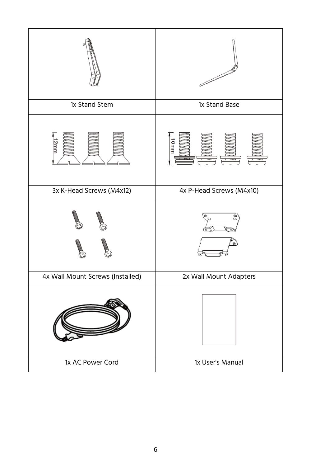|                                  | <sup>1</sup>             |
|----------------------------------|--------------------------|
| 1x Stand Stem                    | 1x Stand Base            |
|                                  | J                        |
| 3x K-Head Screws (M4x12)         | 4x P-Head Screws (M4x10) |
|                                  |                          |
| 4x Wall Mount Screws (Installed) | 2x Wall Mount Adapters   |
|                                  |                          |
| 1x AC Power Cord                 | 1x User's Manual         |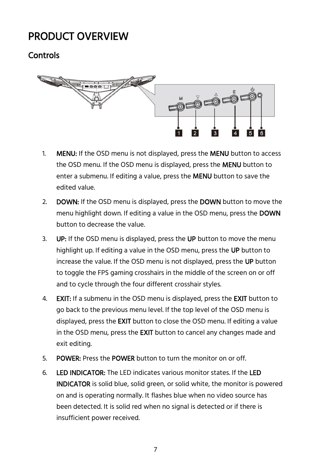#### <span id="page-6-0"></span>PRODUCT OVERVIEW

#### <span id="page-6-1"></span>Controls



- 1. **MENU:** If the OSD menu is not displayed, press the **MENU** button to access the OSD menu. If the OSD menu is displayed, press the MENU button to enter a submenu. If editing a value, press the MENU button to save the edited value.
- 2. **DOWN:** If the OSD menu is displayed, press the **DOWN** button to move the menu highlight down. If editing a value in the OSD menu, press the DOWN button to decrease the value.
- 3. **UP:** If the OSD menu is displayed, press the UP button to move the menu highlight up. If editing a value in the OSD menu, press the UP button to increase the value. If the OSD menu is not displayed, press the UP button to toggle the FPS gaming crosshairs in the middle of the screen on or off and to cycle through the four different crosshair styles.
- 4. **EXIT:** If a submenu in the OSD menu is displayed, press the **EXIT** button to go back to the previous menu level. If the top level of the OSD menu is displayed, press the EXIT button to close the OSD menu. If editing a value in the OSD menu, press the EXIT button to cancel any changes made and exit editing.
- 5. POWER: Press the POWER button to turn the monitor on or off.
- 6. LED INDICATOR: The LED indicates various monitor states. If the LED INDICATOR is solid blue, solid green, or solid white, the monitor is powered on and is operating normally. It flashes blue when no video source has been detected. It is solid red when no signal is detected or if there is insufficient power received.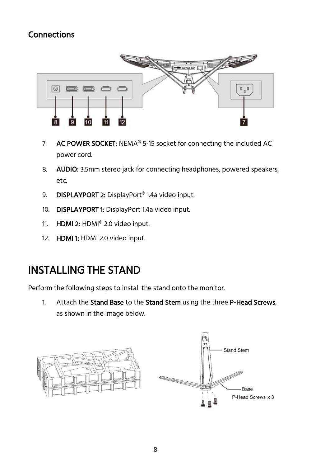#### <span id="page-7-0"></span>Connections



- 7. AC POWER SOCKET: NEMA® 5-15 socket for connecting the included AC power cord.
- 8. **AUDIO:** 3.5mm stereo jack for connecting headphones, powered speakers, etc.
- 9. **DISPLAYPORT 2:** DisplayPort<sup>®</sup> 1.4a video input.
- 10. DISPLAYPORT 1: DisplayPort 1.4a video input.
- 11. HDMI 2: HDMI® 2.0 video input.
- 12. HDMI 1: HDMI 2.0 video input.

#### <span id="page-7-1"></span>INSTALLING THE STAND

Perform the following steps to install the stand onto the monitor.

1. Attach the Stand Base to the Stand Stem using the three P-Head Screws, as shown in the image below.

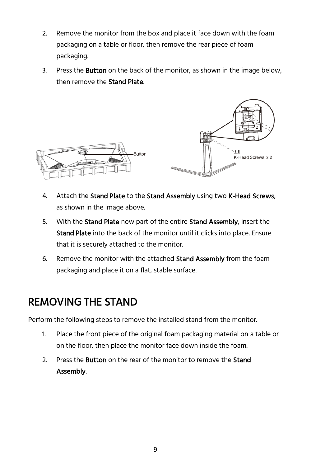- 2. Remove the monitor from the box and place it face down with the foam packaging on a table or floor, then remove the rear piece of foam packaging.
- 3. Press the **Button** on the back of the monitor, as shown in the image below, then remove the Stand Plate.



- 4. Attach the Stand Plate to the Stand Assembly using two K-Head Screws, as shown in the image above.
- 5. With the **Stand Plate** now part of the entire **Stand Assembly**, insert the Stand Plate into the back of the monitor until it clicks into place. Ensure that it is securely attached to the monitor.
- 6. Remove the monitor with the attached Stand Assembly from the foam packaging and place it on a flat, stable surface.

#### <span id="page-8-0"></span>REMOVING THE STAND

Perform the following steps to remove the installed stand from the monitor.

- 1. Place the front piece of the original foam packaging material on a table or on the floor, then place the monitor face down inside the foam.
- 2. Press the Button on the rear of the monitor to remove the Stand Assembly.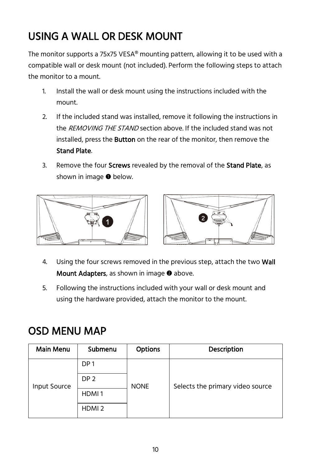## <span id="page-9-0"></span>USING A WALL OR DESK MOUNT

The monitor supports a 75x75 VESA® mounting pattern, allowing it to be used with a compatible wall or desk mount (not included). Perform the following steps to attach the monitor to a mount.

- 1. Install the wall or desk mount using the instructions included with the mount.
- 2. If the included stand was installed, remove it following the instructions in the REMOVING THE STAND section above. If the included stand was not installed, press the **Button** on the rear of the monitor, then remove the Stand Plate.
- 3. Remove the four **Screws** revealed by the removal of the **Stand Plate**, as shown in image  $\bullet$  below.





- 4. Using the four screws removed in the previous step, attach the two Wall Mount Adapters, as shown in image <sup>o</sup> above.
- 5. Following the instructions included with your wall or desk mount and using the hardware provided, attach the monitor to the mount.

#### <span id="page-9-1"></span>OSD MENU MAP

| <b>Main Menu</b> | Submenu           | <b>Options</b> | <b>Description</b>               |
|------------------|-------------------|----------------|----------------------------------|
|                  | DP <sub>1</sub>   |                |                                  |
| Input Source     | DP <sub>2</sub>   | <b>NONE</b>    | Selects the primary video source |
|                  | HDMI <sub>1</sub> |                |                                  |
|                  | HDMI <sub>2</sub> |                |                                  |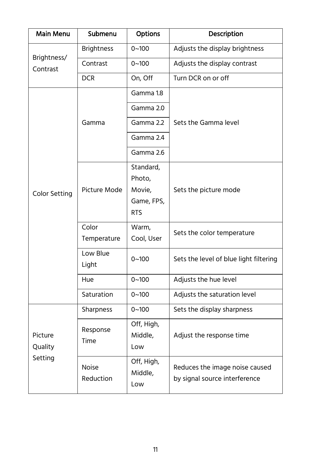| Main Menu                     | Submenu                        | Options                        | Description                            |  |
|-------------------------------|--------------------------------|--------------------------------|----------------------------------------|--|
|                               | <b>Brightness</b><br>$0 - 100$ | Adjusts the display brightness |                                        |  |
| Brightness/<br>Contrast       | Contrast                       | $0 - 100$                      | Adjusts the display contrast           |  |
|                               | <b>DCR</b>                     | On, Off                        | Turn DCR on or off                     |  |
|                               |                                | Gamma 1.8                      |                                        |  |
|                               |                                | Gamma 2.0                      |                                        |  |
|                               | Gamma                          | Gamma 2.2                      | Sets the Gamma level                   |  |
|                               |                                | Gamma 2.4                      |                                        |  |
|                               |                                | Gamma 2.6                      |                                        |  |
|                               |                                | Standard,                      |                                        |  |
|                               | Picture Mode                   | Photo,                         |                                        |  |
| <b>Color Setting</b>          |                                | Movie,                         | Sets the picture mode                  |  |
|                               |                                | Game, FPS,                     |                                        |  |
|                               |                                | <b>RTS</b>                     |                                        |  |
|                               | Color                          | Warm,                          | Sets the color temperature             |  |
|                               | Temperature                    | Cool, User                     |                                        |  |
|                               | Low Blue                       | $0 - 100$                      | Sets the level of blue light filtering |  |
|                               | Light                          |                                |                                        |  |
|                               | Hue                            | $0 - 100$                      | Adjusts the hue level                  |  |
|                               | Saturation                     | $0 - 100$                      | Adjusts the saturation level           |  |
|                               | Sharpness                      | $0 - 100$                      | Sets the display sharpness             |  |
| Picture<br>Quality<br>Setting | Response<br>Time               | Off, High,                     |                                        |  |
|                               |                                | Middle,                        | Adjust the response time               |  |
|                               |                                | Low                            |                                        |  |
|                               | Noise                          | Off, High,                     | Reduces the image noise caused         |  |
|                               | Reduction                      | Middle,                        | by signal source interference          |  |
|                               |                                | Low                            |                                        |  |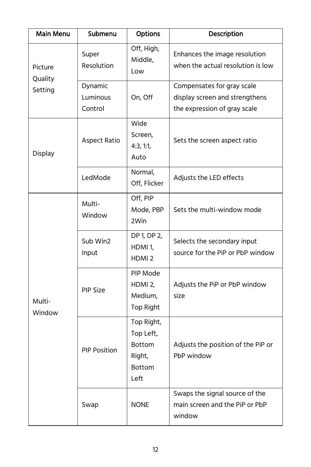| Main Menu                                                                                           | Submenu                                                      | Options                                                                     | Description                                                                                  |
|-----------------------------------------------------------------------------------------------------|--------------------------------------------------------------|-----------------------------------------------------------------------------|----------------------------------------------------------------------------------------------|
| Picture<br>Quality<br>Setting                                                                       | Super<br>Resolution                                          | Off, High,<br>Middle,<br>Low                                                | Enhances the image resolution<br>when the actual resolution is low                           |
|                                                                                                     | Dynamic<br>Luminous<br>Control                               | On, Off                                                                     | Compensates for gray scale<br>display screen and strengthens<br>the expression of gray scale |
| Display                                                                                             | Aspect Ratio                                                 | Wide<br>Screen,<br>4:3, 1:1,<br>Auto                                        | Sets the screen aspect ratio                                                                 |
|                                                                                                     | LedMode                                                      | Normal,<br>Off, Flicker                                                     | Adjusts the LED effects                                                                      |
| Multi-<br>Window<br>Sub Win2<br>Input<br><b>PIP Size</b><br>Multi-<br>Window<br><b>PIP Position</b> |                                                              | Off, PIP<br>Mode, PBP<br>2Win                                               | Sets the multi-window mode                                                                   |
|                                                                                                     |                                                              | DP 1, DP 2,<br>HDMI <sub>1</sub> .<br>HDMI <sub>2</sub>                     | Selects the secondary input<br>source for the PiP or PbP window                              |
|                                                                                                     | PIP Mode<br>HDMI <sub>2</sub><br>Medium,<br><b>Top Right</b> | Adjusts the PiP or PbP window<br>size                                       |                                                                                              |
|                                                                                                     |                                                              | Top Right,<br>Top Left,<br><b>Bottom</b><br>Right,<br><b>Bottom</b><br>Left | Adjusts the position of the PiP or<br>PbP window                                             |
|                                                                                                     | Swap                                                         | <b>NONE</b>                                                                 | Swaps the signal source of the<br>main screen and the PiP or PbP<br>window                   |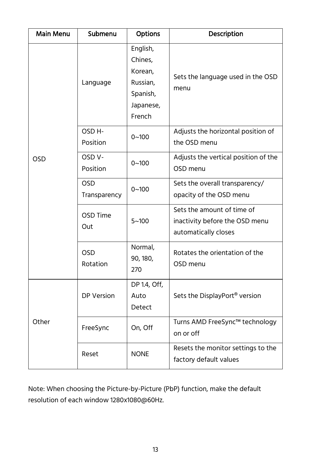| Main Menu  | Submenu                        | Options                                                                       | Description                                                                          |
|------------|--------------------------------|-------------------------------------------------------------------------------|--------------------------------------------------------------------------------------|
|            | Language                       | English,<br>Chines,<br>Korean,<br>Russian,<br>Spanish,<br>Japanese,<br>French | Sets the language used in the OSD<br>menu                                            |
|            | OSD <sub>H</sub> -<br>Position | $0 - 100$                                                                     | Adjusts the horizontal position of<br>the OSD menu                                   |
| <b>OSD</b> | OSD <sub>V</sub> -<br>Position | $0 - 100$                                                                     | Adjusts the vertical position of the<br>OSD menu                                     |
|            | <b>OSD</b><br>Transparency     | $0 - 100$                                                                     | Sets the overall transparency/<br>opacity of the OSD menu                            |
|            | OSD Time<br>Out                | $5 - 100$                                                                     | Sets the amount of time of<br>inactivity before the OSD menu<br>automatically closes |
|            | <b>OSD</b><br>Rotation         | Normal,<br>90, 180,<br>270                                                    | Rotates the orientation of the<br>OSD menu                                           |
| Other      | DP Version                     | DP 1.4, Off,<br>Auto<br>Detect                                                | Sets the DisplayPort <sup>®</sup> version                                            |
|            | FreeSync                       | On, Off                                                                       | Turns AMD FreeSync™ technology<br>on or off                                          |
|            | Reset                          | <b>NONE</b>                                                                   | Resets the monitor settings to the<br>factory default values                         |

Note: When choosing the Picture-by-Picture (PbP) function, make the default resolution of each window 1280x1080@60Hz.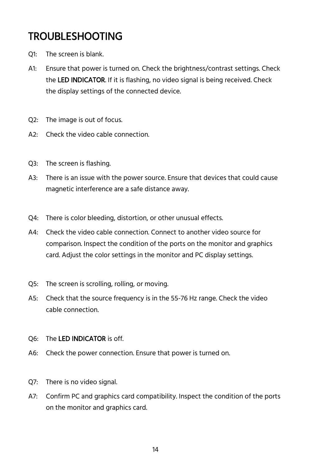#### <span id="page-13-0"></span>TROUBLESHOOTING

- Q1: The screen is blank.
- A1: Ensure that power is turned on. Check the brightness/contrast settings. Check the LED INDICATOR. If it is flashing, no video signal is being received. Check the display settings of the connected device.
- Q2: The image is out of focus.
- A2: Check the video cable connection.
- Q3: The screen is flashing.
- A3: There is an issue with the power source. Ensure that devices that could cause magnetic interference are a safe distance away.
- Q4: There is color bleeding, distortion, or other unusual effects.
- A4: Check the video cable connection. Connect to another video source for comparison. Inspect the condition of the ports on the monitor and graphics card. Adjust the color settings in the monitor and PC display settings.
- Q5: The screen is scrolling, rolling, or moving.
- A5: Check that the source frequency is in the 55-76 Hz range. Check the video cable connection.
- Q6: The LED INDICATOR is off.
- A6: Check the power connection. Ensure that power is turned on.
- Q7: There is no video signal.
- A7: Confirm PC and graphics card compatibility. Inspect the condition of the ports on the monitor and graphics card.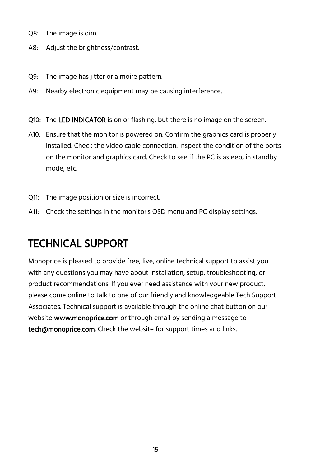- Q8: The image is dim.
- A8: Adjust the brightness/contrast.
- Q9: The image has jitter or a moire pattern.
- A9: Nearby electronic equipment may be causing interference.
- Q10: The LED INDICATOR is on or flashing, but there is no image on the screen.
- A10: Ensure that the monitor is powered on. Confirm the graphics card is properly installed. Check the video cable connection. Inspect the condition of the ports on the monitor and graphics card. Check to see if the PC is asleep, in standby mode, etc.
- Q11: The image position or size is incorrect.
- A11: Check the settings in the monitor's OSD menu and PC display settings.

#### <span id="page-14-0"></span>TECHNICAL SUPPORT

Monoprice is pleased to provide free, live, online technical support to assist you with any questions you may have about installation, setup, troubleshooting, or product recommendations. If you ever need assistance with your new product, please come online to talk to one of our friendly and knowledgeable Tech Support Associates. Technical support is available through the online chat button on our website **www.monoprice.com** or through email by sending a message to tech@monoprice.com. Check the website for support times and links.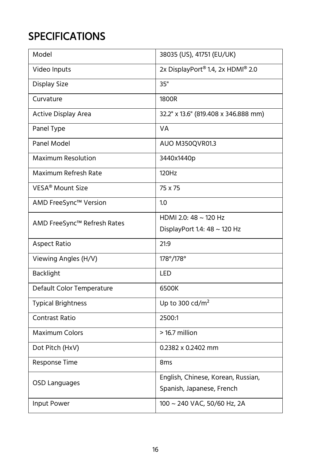## <span id="page-15-0"></span>**SPECIFICATIONS**

| Model                        | 38035 (US), 41751 (EU/UK)                     |
|------------------------------|-----------------------------------------------|
| Video Inputs                 | 2x DisplayPort <sup>®</sup> 1.4, 2x HDMI® 2.0 |
| Display Size                 | 35"                                           |
| Curvature                    | 1800R                                         |
| Active Display Area          | 32.2" x 13.6" (819.408 x 346.888 mm)          |
| Panel Type                   | VA                                            |
| Panel Model                  | AUO M350QVR01.3                               |
| Maximum Resolution           | 3440x1440p                                    |
| Maximum Refresh Rate         | 120Hz                                         |
| VESA <sup>®</sup> Mount Size | 75 x 75                                       |
| AMD FreeSync™ Version        | 1.0                                           |
| AMD FreeSync™ Refresh Rates  | HDMI 2.0: 48 $\sim$ 120 Hz                    |
|                              | DisplayPort 1.4: 48 ~ 120 Hz                  |
| <b>Aspect Ratio</b>          | 21:9                                          |
| Viewing Angles (H/V)         | 178°/178°                                     |
| <b>Backlight</b>             | LED                                           |
| Default Color Temperature    | 6500K                                         |
| <b>Typical Brightness</b>    | Up to 300 cd/ $m2$                            |
| Contrast Ratio               | 2500:1                                        |
| <b>Maximum Colors</b>        | > 16.7 million                                |
| Dot Pitch (HxV)              | 0.2382 x 0.2402 mm                            |
| Response Time                | 8 <sub>ms</sub>                               |
| OSD Languages                | English, Chinese, Korean, Russian,            |
|                              | Spanish, Japanese, French                     |
| Input Power                  | 100 ~ 240 VAC, 50/60 Hz, 2A                   |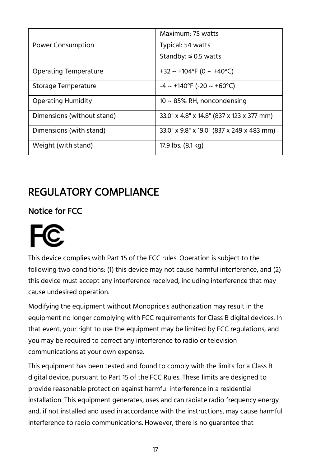|                            | Maximum: 75 watts                               |
|----------------------------|-------------------------------------------------|
| <b>Power Consumption</b>   | Typical: 54 watts                               |
|                            | Standby: $\leq 0.5$ watts                       |
| Operating Temperature      | +32 ~ +104°F (0 ~ +40°C)                        |
| Storage Temperature        | $-4 \sim +140^{\circ}F (-20 \sim +60^{\circ}C)$ |
| <b>Operating Humidity</b>  | $10 \sim 85\%$ RH, noncondensing                |
| Dimensions (without stand) | 33.0" x 4.8" x 14.8" (837 x 123 x 377 mm)       |
| Dimensions (with stand)    | 33.0" x 9.8" x 19.0" (837 x 249 x 483 mm)       |
| Weight (with stand)        | 17.9 lbs. (8.1 kg)                              |

### <span id="page-16-0"></span>REGULATORY COMPLIANCE

#### <span id="page-16-1"></span>Notice for FCC



This device complies with Part 15 of the FCC rules. Operation is subject to the following two conditions: (1) this device may not cause harmful interference, and (2) this device must accept any interference received, including interference that may cause undesired operation.

Modifying the equipment without Monoprice's authorization may result in the equipment no longer complying with FCC requirements for Class B digital devices. In that event, your right to use the equipment may be limited by FCC regulations, and you may be required to correct any interference to radio or television communications at your own expense.

This equipment has been tested and found to comply with the limits for a Class B digital device, pursuant to Part 15 of the FCC Rules. These limits are designed to provide reasonable protection against harmful interference in a residential installation. This equipment generates, uses and can radiate radio frequency energy and, if not installed and used in accordance with the instructions, may cause harmful interference to radio communications. However, there is no guarantee that